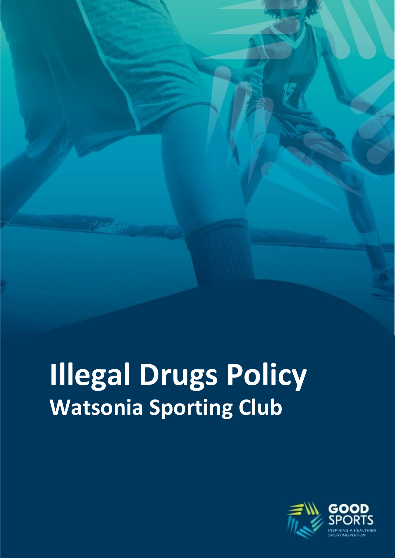# **Illegal Drugs Policy Watsonia Sporting Club**

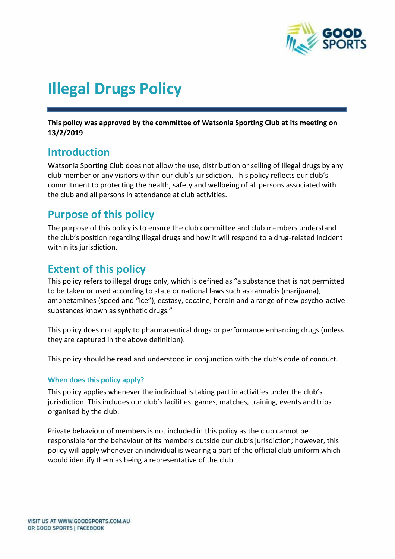

## **Illegal Drugs Policy**

**This policy was approved by the committee of Watsonia Sporting Club at its meeting on 13/2/2019**

## **Introduction**

Watsonia Sporting Club does not allow the use, distribution or selling of illegal drugs by any club member or any visitors within our club's jurisdiction. This policy reflects our club's commitment to protecting the health, safety and wellbeing of all persons associated with the club and all persons in attendance at club activities.

## **Purpose of this policy**

The purpose of this policy is to ensure the club committee and club members understand the club's position regarding illegal drugs and how it will respond to a drug-related incident within its jurisdiction.

## **Extent of this policy**

This policy refers to illegal drugs only, which is defined as "a substance that is not permitted to be taken or used according to state or national laws such as cannabis (marijuana), amphetamines (speed and "ice"), ecstasy, cocaine, heroin and a range of new psycho-active substances known as synthetic drugs."

This policy does not apply to pharmaceutical drugs or performance enhancing drugs (unless they are captured in the above definition).

This policy should be read and understood in conjunction with the club's code of conduct.

#### **When does this policy apply?**

This policy applies whenever the individual is taking part in activities under the club's jurisdiction. This includes our club's facilities, games, matches, training, events and trips organised by the club.

Private behaviour of members is not included in this policy as the club cannot be responsible for the behaviour of its members outside our club's jurisdiction; however, this policy will apply whenever an individual is wearing a part of the official club uniform which would identify them as being a representative of the club.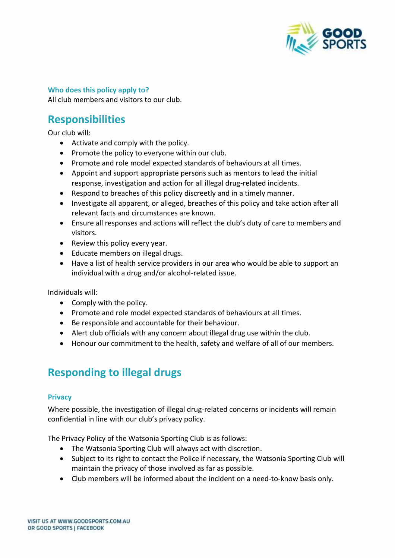

#### **Who does this policy apply to?**

All club members and visitors to our club.

## **Responsibilities**

Our club will:

- Activate and comply with the policy.
- Promote the policy to everyone within our club.
- Promote and role model expected standards of behaviours at all times.
- Appoint and support appropriate persons such as mentors to lead the initial response, investigation and action for all illegal drug-related incidents.
- Respond to breaches of this policy discreetly and in a timely manner.
- Investigate all apparent, or alleged, breaches of this policy and take action after all relevant facts and circumstances are known.
- Ensure all responses and actions will reflect the club's duty of care to members and visitors.
- Review this policy every year.
- Educate members on illegal drugs.
- Have a list of health service providers in our area who would be able to support an individual with a drug and/or alcohol-related issue.

Individuals will:

- Comply with the policy.
- Promote and role model expected standards of behaviours at all times.
- Be responsible and accountable for their behaviour.
- Alert club officials with any concern about illegal drug use within the club.
- Honour our commitment to the health, safety and welfare of all of our members.

## **Responding to illegal drugs**

#### **Privacy**

Where possible, the investigation of illegal drug-related concerns or incidents will remain confidential in line with our club's privacy policy.

The Privacy Policy of the Watsonia Sporting Club is as follows:

- The Watsonia Sporting Club will always act with discretion.
- Subject to its right to contact the Police if necessary, the Watsonia Sporting Club will maintain the privacy of those involved as far as possible.
- Club members will be informed about the incident on a need-to-know basis only.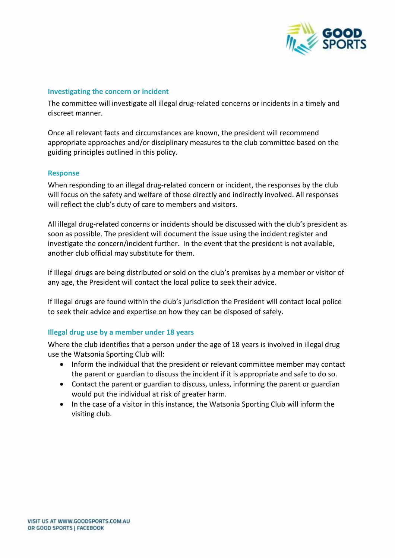

#### **Investigating the concern or incident**

The committee will investigate all illegal drug-related concerns or incidents in a timely and discreet manner.

Once all relevant facts and circumstances are known, the president will recommend appropriate approaches and/or disciplinary measures to the club committee based on the guiding principles outlined in this policy.

#### **Response**

When responding to an illegal drug-related concern or incident, the responses by the club will focus on the safety and welfare of those directly and indirectly involved. All responses will reflect the club's duty of care to members and visitors.

All illegal drug-related concerns or incidents should be discussed with the club's president as soon as possible. The president will document the issue using the incident register and investigate the concern/incident further. In the event that the president is not available, another club official may substitute for them.

If illegal drugs are being distributed or sold on the club's premises by a member or visitor of any age, the President will contact the local police to seek their advice.

If illegal drugs are found within the club's jurisdiction the President will contact local police to seek their advice and expertise on how they can be disposed of safely.

#### **Illegal drug use by a member under 18 years**

Where the club identifies that a person under the age of 18 years is involved in illegal drug use the Watsonia Sporting Club will:

- Inform the individual that the president or relevant committee member may contact the parent or guardian to discuss the incident if it is appropriate and safe to do so.
- Contact the parent or guardian to discuss, unless, informing the parent or guardian would put the individual at risk of greater harm.
- In the case of a visitor in this instance, the Watsonia Sporting Club will inform the visiting club.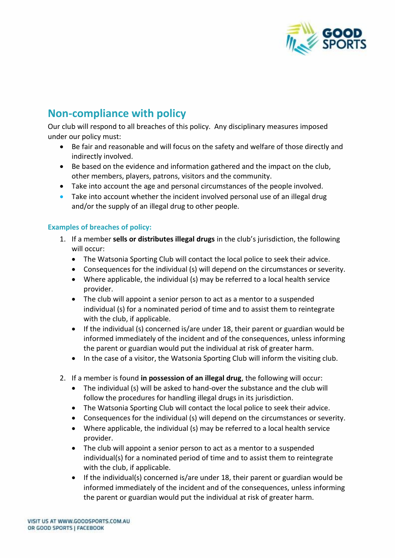

## **Non-compliance with policy**

Our club will respond to all breaches of this policy. Any disciplinary measures imposed under our policy must:

- Be fair and reasonable and will focus on the safety and welfare of those directly and indirectly involved.
- Be based on the evidence and information gathered and the impact on the club, other members, players, patrons, visitors and the community.
- Take into account the age and personal circumstances of the people involved.
- Take into account whether the incident involved personal use of an illegal drug and/or the supply of an illegal drug to other people.

#### **Examples of breaches of policy:**

- 1. If a member **sells or distributes illegal drugs** in the club's jurisdiction, the following will occur:
	- The Watsonia Sporting Club will contact the local police to seek their advice.
	- Consequences for the individual (s) will depend on the circumstances or severity.
	- Where applicable, the individual (s) may be referred to a local health service provider.
	- The club will appoint a senior person to act as a mentor to a suspended individual (s) for a nominated period of time and to assist them to reintegrate with the club, if applicable.
	- If the individual (s) concerned is/are under 18, their parent or guardian would be informed immediately of the incident and of the consequences, unless informing the parent or guardian would put the individual at risk of greater harm.
	- In the case of a visitor, the Watsonia Sporting Club will inform the visiting club.
- 2. If a member is found **in possession of an illegal drug**, the following will occur:
	- The individual (s) will be asked to hand-over the substance and the club will follow the procedures for handling illegal drugs in its jurisdiction.
	- The Watsonia Sporting Club will contact the local police to seek their advice.
	- Consequences for the individual (s) will depend on the circumstances or severity.
	- Where applicable, the individual (s) may be referred to a local health service provider.
	- The club will appoint a senior person to act as a mentor to a suspended individual(s) for a nominated period of time and to assist them to reintegrate with the club, if applicable.
	- If the individual(s) concerned is/are under 18, their parent or guardian would be informed immediately of the incident and of the consequences, unless informing the parent or guardian would put the individual at risk of greater harm.